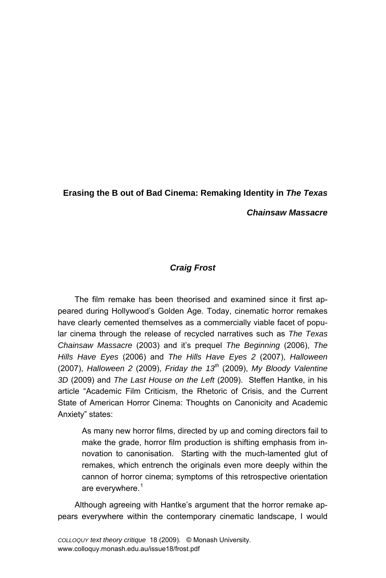# **Erasing the B out of Bad Cinema: Remaking Identity in** *The Texas Chainsaw Massacre*

# *Craig Frost*

The film remake has been theorised and examined since it first appeared during Hollywood's Golden Age. Today, cinematic horror remakes have clearly cemented themselves as a commercially viable facet of popular cinema through the release of recycled narratives such as *The Texas Chainsaw Massacre* (2003) and itís prequel *The Beginning* (2006), *The Hills Have Eyes* (2006) and *The Hills Have Eyes 2* (2007), *Halloween* (2007), *Halloween 2* (2009), *Friday the 13th* (2009), *My Bloody Valentine 3D* (2009) and *The Last House on the Left* (2009). Steffen Hantke, in his article "Academic Film Criticism, the Rhetoric of Crisis, and the Current State of American Horror Cinema: Thoughts on Canonicity and Academic Anxiety" states:

As many new horror films, directed by up and coming directors fail to make the grade, horror film production is shifting emphasis from innovation to canonisation. Starting with the much-lamented glut of remakes, which entrench the originals even more deeply within the cannon of horror cinema; symptoms of this retrospective orientation are everywhere. $^1$  $^1$ 

Although agreeing with Hantke's argument that the horror remake appears everywhere within the contemporary cinematic landscape, I would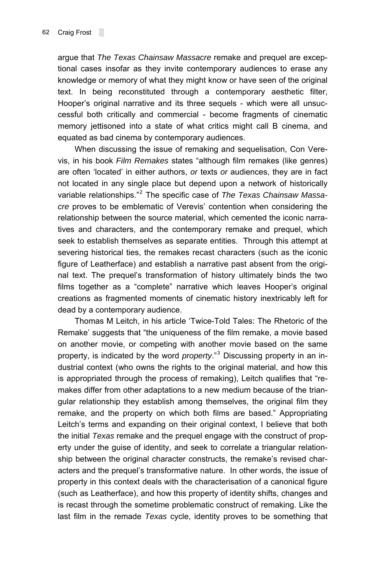argue that *The Texas Chainsaw Massacre* remake and prequel are exceptional cases insofar as they invite contemporary audiences to erase any knowledge or memory of what they might know or have seen of the original text. In being reconstituted through a contemporary aesthetic filter, Hooper's original narrative and its three sequels - which were all unsuccessful both critically and commercial - become fragments of cinematic memory jettisoned into a state of what critics might call B cinema, and equated as bad cinema by contemporary audiences.

When discussing the issue of remaking and sequelisation, Con Verevis, in his book *Film Remakes* states "although film remakes (like genres) are often 'located' in either authors, *or* texts *or* audiences, they are in fact not located in any single place but depend upon a network of historically variable relationships."<sup>[2](#page-14-1)</sup> The specific case of *The Texas Chainsaw Massacre* proves to be emblematic of Verevisí contention when considering the relationship between the source material, which cemented the iconic narratives and characters, and the contemporary remake and prequel, which seek to establish themselves as separate entities. Through this attempt at severing historical ties, the remakes recast characters (such as the iconic figure of Leatherface) and establish a narrative past absent from the original text. The prequelís transformation of history ultimately binds the two films together as a "complete" narrative which leaves Hooper's original creations as fragmented moments of cinematic history inextricably left for dead by a contemporary audience.

Thomas M Leitch, in his article 'Twice-Told Tales: The Rhetoric of the Remake' suggests that "the uniqueness of the film remake, a movie based on another movie, or competing with another movie based on the same property, is indicated by the word *property*."<sup>[3](#page-14-1)</sup> Discussing property in an industrial context (who owns the rights to the original material, and how this is appropriated through the process of remaking), Leitch qualifies that "remakes differ from other adaptations to a new medium because of the triangular relationship they establish among themselves, the original film they remake, and the property on which both films are based." Appropriating Leitch's terms and expanding on their original context, I believe that both the initial *Texas* remake and the prequel engage with the construct of property under the guise of identity, and seek to correlate a triangular relationship between the original character constructs, the remake's revised characters and the prequelís transformative nature. In other words, the issue of property in this context deals with the characterisation of a canonical figure (such as Leatherface), and how this property of identity shifts, changes and is recast through the sometime problematic construct of remaking. Like the last film in the remade *Texas* cycle, identity proves to be something that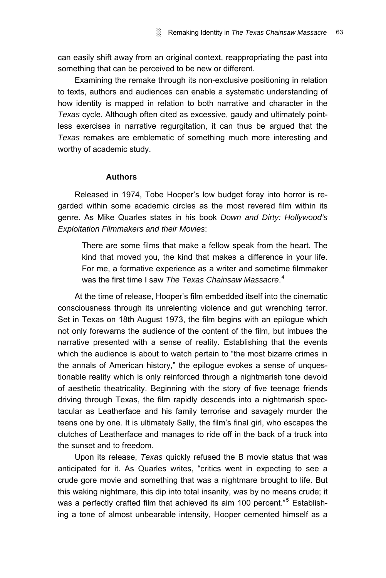can easily shift away from an original context, reappropriating the past into something that can be perceived to be new or different.

Examining the remake through its non-exclusive positioning in relation to texts, authors and audiences can enable a systematic understanding of how identity is mapped in relation to both narrative and character in the *Texas* cycle. Although often cited as excessive, gaudy and ultimately pointless exercises in narrative regurgitation, it can thus be argued that the *Texas* remakes are emblematic of something much more interesting and worthy of academic study.

# **Authors**

Released in 1974, Tobe Hooper's low budget foray into horror is regarded within some academic circles as the most revered film within its genre. As Mike Quarles states in his book *Down and Dirty: Hollywood's Exploitation Filmmakers and their Movies*:

There are some films that make a fellow speak from the heart. The kind that moved you, the kind that makes a difference in your life. For me, a formative experience as a writer and sometime filmmaker was the first time I saw *The Texas Chainsaw Massacre*. [4](#page-14-1)

At the time of release, Hooper's film embedded itself into the cinematic consciousness through its unrelenting violence and gut wrenching terror. Set in Texas on 18th August 1973, the film begins with an epilogue which not only forewarns the audience of the content of the film, but imbues the narrative presented with a sense of reality. Establishing that the events which the audience is about to watch pertain to "the most bizarre crimes in the annals of American history," the epilogue evokes a sense of unquestionable reality which is only reinforced through a nightmarish tone devoid of aesthetic theatricality. Beginning with the story of five teenage friends driving through Texas, the film rapidly descends into a nightmarish spectacular as Leatherface and his family terrorise and savagely murder the teens one by one. It is ultimately Sally, the film's final girl, who escapes the clutches of Leatherface and manages to ride off in the back of a truck into the sunset and to freedom.

Upon its release, *Texas* quickly refused the B movie status that was anticipated for it. As Quarles writes, "critics went in expecting to see a crude gore movie and something that was a nightmare brought to life. But this waking nightmare, this dip into total insanity, was by no means crude; it was a perfectly crafted film that achieved its aim 100 percent."<sup>[5](#page-14-1)</sup> Establishing a tone of almost unbearable intensity, Hooper cemented himself as a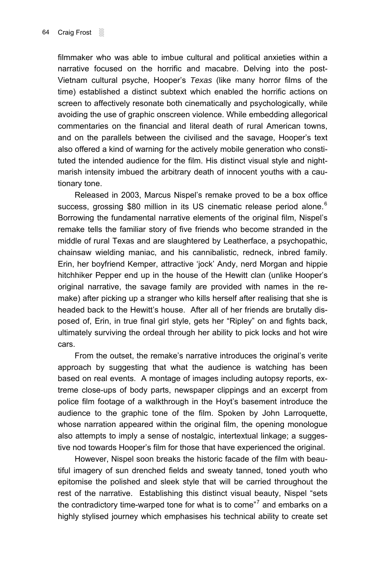filmmaker who was able to imbue cultural and political anxieties within a narrative focused on the horrific and macabre. Delving into the post-Vietnam cultural psyche, Hooperís *Texas* (like many horror films of the time) established a distinct subtext which enabled the horrific actions on screen to affectively resonate both cinematically and psychologically, while avoiding the use of graphic onscreen violence. While embedding allegorical commentaries on the financial and literal death of rural American towns, and on the parallels between the civilised and the savage, Hooper's text also offered a kind of warning for the actively mobile generation who constituted the intended audience for the film. His distinct visual style and nightmarish intensity imbued the arbitrary death of innocent youths with a cautionary tone.

Released in 2003, Marcus Nispel's remake proved to be a box office success, grossing \$80 million in its US cinematic release period alone.<sup>[6](#page-14-1)</sup> Borrowing the fundamental narrative elements of the original film, Nispelís remake tells the familiar story of five friends who become stranded in the middle of rural Texas and are slaughtered by Leatherface, a psychopathic, chainsaw wielding maniac, and his cannibalistic, redneck, inbred family. Erin, her boyfriend Kemper, attractive 'jock' Andy, nerd Morgan and hippie hitchhiker Pepper end up in the house of the Hewitt clan (unlike Hooper's original narrative, the savage family are provided with names in the remake) after picking up a stranger who kills herself after realising that she is headed back to the Hewitt's house. After all of her friends are brutally disposed of, Erin, in true final girl style, gets her "Ripley" on and fights back, ultimately surviving the ordeal through her ability to pick locks and hot wire cars.

From the outset, the remake's narrative introduces the original's verite approach by suggesting that what the audience is watching has been based on real events. A montage of images including autopsy reports, extreme close-ups of body parts, newspaper clippings and an excerpt from police film footage of a walkthrough in the Hoytís basement introduce the audience to the graphic tone of the film. Spoken by John Larroquette, whose narration appeared within the original film, the opening monologue also attempts to imply a sense of nostalgic, intertextual linkage; a suggestive nod towards Hooper's film for those that have experienced the original.

However, Nispel soon breaks the historic facade of the film with beautiful imagery of sun drenched fields and sweaty tanned, toned youth who epitomise the polished and sleek style that will be carried throughout the rest of the narrative. Establishing this distinct visual beauty, Nispel "sets the contradictory time-warped tone for what is to come"<sup>[7](#page-14-1)</sup> and embarks on a highly stylised journey which emphasises his technical ability to create set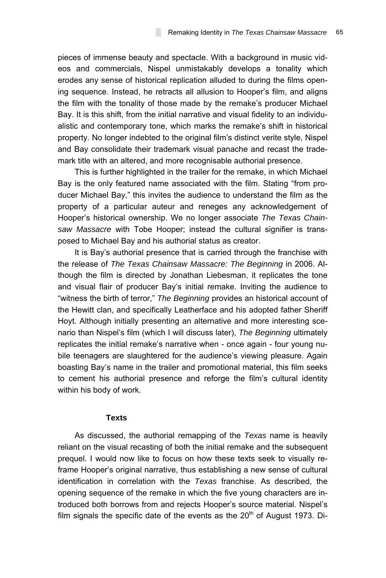pieces of immense beauty and spectacle. With a background in music videos and commercials, Nispel unmistakably develops a tonality which erodes any sense of historical replication alluded to during the films opening sequence. Instead, he retracts all allusion to Hooper's film, and aligns the film with the tonality of those made by the remake's producer Michael Bay. It is this shift, from the initial narrative and visual fidelity to an individualistic and contemporary tone, which marks the remake's shift in historical property. No longer indebted to the original filmís distinct verite style, Nispel and Bay consolidate their trademark visual panache and recast the trademark title with an altered, and more recognisable authorial presence.

This is further highlighted in the trailer for the remake, in which Michael Bay is the only featured name associated with the film. Stating "from producer Michael Bay," this invites the audience to understand the film as the property of a particular auteur and reneges any acknowledgement of Hooperís historical ownership. We no longer associate *The Texas Chainsaw Massacre* with Tobe Hooper; instead the cultural signifier is transposed to Michael Bay and his authorial status as creator.

It is Bay's authorial presence that is carried through the franchise with the release of *The Texas Chainsaw Massacre: The Beginning* in 2006. Although the film is directed by Jonathan Liebesman, it replicates the tone and visual flair of producer Bay's initial remake. Inviting the audience to "witness the birth of terror," The Beginning provides an historical account of the Hewitt clan, and specifically Leatherface and his adopted father Sheriff Hoyt. Although initially presenting an alternative and more interesting scenario than Nispel's film (which I will discuss later), *The Beginning* ultimately replicates the initial remake's narrative when - once again - four young nubile teenagers are slaughtered for the audience's viewing pleasure. Again boasting Bayís name in the trailer and promotional material, this film seeks to cement his authorial presence and reforge the film's cultural identity within his body of work.

#### **Texts**

As discussed, the authorial remapping of the *Texas* name is heavily reliant on the visual recasting of both the initial remake and the subsequent prequel. I would now like to focus on how these texts seek to visually reframe Hooper's original narrative, thus establishing a new sense of cultural identification in correlation with the *Texas* franchise. As described, the opening sequence of the remake in which the five young characters are introduced both borrows from and rejects Hooper's source material. Nispel's film signals the specific date of the events as the  $20<sup>th</sup>$  of August 1973. Di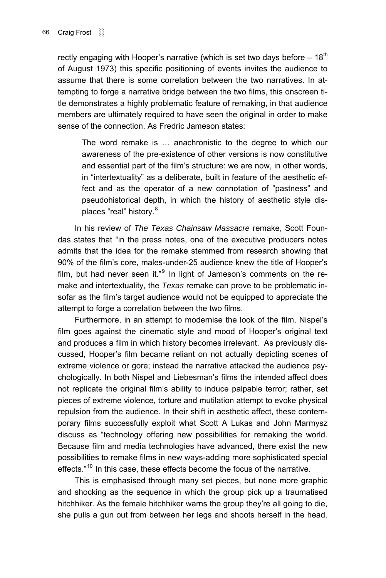rectly engaging with Hooper's narrative (which is set two days before  $-18<sup>th</sup>$ of August 1973) this specific positioning of events invites the audience to assume that there is some correlation between the two narratives. In attempting to forge a narrative bridge between the two films, this onscreen title demonstrates a highly problematic feature of remaking, in that audience members are ultimately required to have seen the original in order to make sense of the connection. As Fredric Jameson states:

The word remake is ... anachronistic to the degree to which our awareness of the pre-existence of other versions is now constitutive and essential part of the film's structure: we are now, in other words, in "intertextuality" as a deliberate, built in feature of the aesthetic effect and as the operator of a new connotation of "pastness" and pseudohistorical depth, in which the history of aesthetic style dis-places "real" history.<sup>[8](#page-14-1)</sup>

In his review of *The Texas Chainsaw Massacre* remake, Scott Foundas states that "in the press notes, one of the executive producers notes admits that the idea for the remake stemmed from research showing that 90% of the film's core, males-under-25 audience knew the title of Hooper's film, but had never seen it."<sup>[9](#page-14-1)</sup> In light of Jameson's comments on the remake and intertextuality, the *Texas* remake can prove to be problematic insofar as the film's target audience would not be equipped to appreciate the attempt to forge a correlation between the two films.

Furthermore, in an attempt to modernise the look of the film, Nispel's film goes against the cinematic style and mood of Hooper's original text and produces a film in which history becomes irrelevant. As previously discussed, Hooper's film became reliant on not actually depicting scenes of extreme violence or gore; instead the narrative attacked the audience psychologically. In both Nispel and Liebesman's films the intended affect does not replicate the original film's ability to induce palpable terror; rather, set pieces of extreme violence, torture and mutilation attempt to evoke physical repulsion from the audience. In their shift in aesthetic affect, these contemporary films successfully exploit what Scott A Lukas and John Marmysz discuss as "technology offering new possibilities for remaking the world. Because film and media technologies have advanced, there exist the new possibilities to remake films in new ways-adding more sophisticated special effects. $110$  $110$  In this case, these effects become the focus of the narrative.

This is emphasised through many set pieces, but none more graphic and shocking as the sequence in which the group pick up a traumatised hitchhiker. As the female hitchhiker warns the group they're all going to die, she pulls a gun out from between her legs and shoots herself in the head.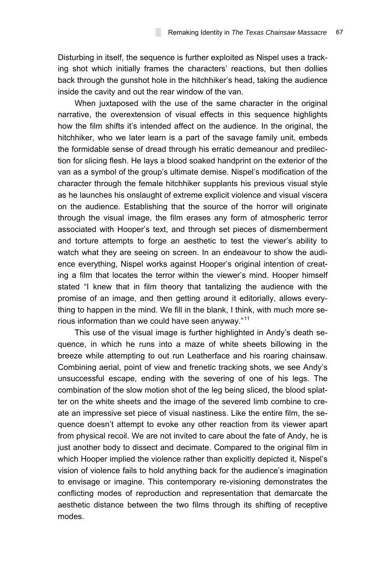Disturbing in itself, the sequence is further exploited as Nispel uses a tracking shot which initially frames the characters' reactions, but then dollies back through the gunshot hole in the hitchhiker's head, taking the audience inside the cavity and out the rear window of the van.

When juxtaposed with the use of the same character in the original narrative, the overextension of visual effects in this sequence highlights how the film shifts itís intended affect on the audience. In the original, the hitchhiker, who we later learn is a part of the savage family unit, embeds the formidable sense of dread through his erratic demeanour and predilection for slicing flesh. He lays a blood soaked handprint on the exterior of the van as a symbol of the group's ultimate demise. Nispel's modification of the character through the female hitchhiker supplants his previous visual style as he launches his onslaught of extreme explicit violence and visual viscera on the audience. Establishing that the source of the horror will originate through the visual image, the film erases any form of atmospheric terror associated with Hooper's text, and through set pieces of dismemberment and torture attempts to forge an aesthetic to test the viewer's ability to watch what they are seeing on screen. In an endeavour to show the audience everything, Nispel works against Hooper's original intention of creating a film that locates the terror within the viewer's mind. Hooper himself stated "I knew that in film theory that tantalizing the audience with the promise of an image, and then getting around it editorially, allows everything to happen in the mind. We fill in the blank, I think, with much more serious information than we could have seen anyway. $11$ <sup>11</sup>

This use of the visual image is further highlighted in Andy's death sequence, in which he runs into a maze of white sheets billowing in the breeze while attempting to out run Leatherface and his roaring chainsaw. Combining aerial, point of view and frenetic tracking shots, we see Andyís unsuccessful escape, ending with the severing of one of his legs. The combination of the slow motion shot of the leg being sliced, the blood splatter on the white sheets and the image of the severed limb combine to create an impressive set piece of visual nastiness. Like the entire film, the sequence doesnít attempt to evoke any other reaction from its viewer apart from physical recoil. We are not invited to care about the fate of Andy, he is just another body to dissect and decimate. Compared to the original film in which Hooper implied the violence rather than explicitly depicted it, Nispel's vision of violence fails to hold anything back for the audience's imagination to envisage or imagine. This contemporary re-visioning demonstrates the conflicting modes of reproduction and representation that demarcate the aesthetic distance between the two films through its shifting of receptive modes.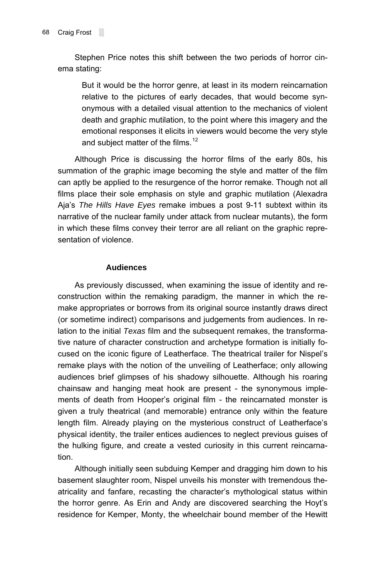Stephen Price notes this shift between the two periods of horror cinema stating:

But it would be the horror genre, at least in its modern reincarnation relative to the pictures of early decades, that would become synonymous with a detailed visual attention to the mechanics of violent death and graphic mutilation, to the point where this imagery and the emotional responses it elicits in viewers would become the very style and subject matter of the films.<sup>[12](#page-14-1)</sup>

Although Price is discussing the horror films of the early 80s, his summation of the graphic image becoming the style and matter of the film can aptly be applied to the resurgence of the horror remake. Though not all films place their sole emphasis on style and graphic mutilation (Alexadra Ajaís *The Hills Have Eyes* remake imbues a post 9-11 subtext within its narrative of the nuclear family under attack from nuclear mutants), the form in which these films convey their terror are all reliant on the graphic representation of violence.

## **Audiences**

As previously discussed, when examining the issue of identity and reconstruction within the remaking paradigm, the manner in which the remake appropriates or borrows from its original source instantly draws direct (or sometime indirect) comparisons and judgements from audiences. In relation to the initial *Texas* film and the subsequent remakes, the transformative nature of character construction and archetype formation is initially focused on the iconic figure of Leatherface. The theatrical trailer for Nispel's remake plays with the notion of the unveiling of Leatherface; only allowing audiences brief glimpses of his shadowy silhouette. Although his roaring chainsaw and hanging meat hook are present - the synonymous implements of death from Hooper's original film - the reincarnated monster is given a truly theatrical (and memorable) entrance only within the feature length film. Already playing on the mysterious construct of Leatherface's physical identity, the trailer entices audiences to neglect previous guises of the hulking figure, and create a vested curiosity in this current reincarnation.

Although initially seen subduing Kemper and dragging him down to his basement slaughter room, Nispel unveils his monster with tremendous theatricality and fanfare, recasting the character's mythological status within the horror genre. As Erin and Andy are discovered searching the Hoyt's residence for Kemper, Monty, the wheelchair bound member of the Hewitt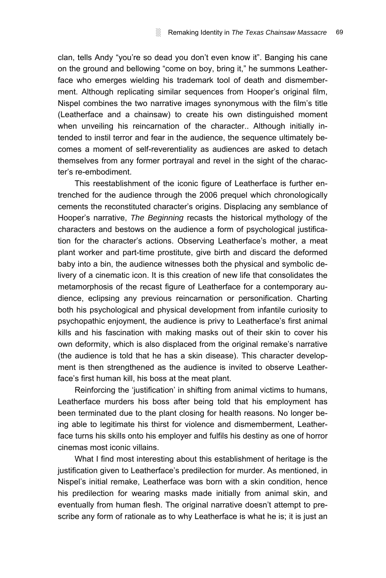clan, tells Andy "vou're so dead you don't even know it". Banging his cane on the ground and bellowing "come on boy, bring it," he summons Leatherface who emerges wielding his trademark tool of death and dismemberment. Although replicating similar sequences from Hooper's original film, Nispel combines the two narrative images synonymous with the filmís title (Leatherface and a chainsaw) to create his own distinguished moment when unveiling his reincarnation of the character.. Although initially intended to instil terror and fear in the audience, the sequence ultimately becomes a moment of self-reverentiality as audiences are asked to detach themselves from any former portrayal and revel in the sight of the characterís re-embodiment.

This reestablishment of the iconic figure of Leatherface is further entrenched for the audience through the 2006 prequel which chronologically cements the reconstituted character's origins. Displacing any semblance of Hooperís narrative, *The Beginning* recasts the historical mythology of the characters and bestows on the audience a form of psychological justification for the character's actions. Observing Leatherface's mother, a meat plant worker and part-time prostitute, give birth and discard the deformed baby into a bin, the audience witnesses both the physical and symbolic delivery of a cinematic icon. It is this creation of new life that consolidates the metamorphosis of the recast figure of Leatherface for a contemporary audience, eclipsing any previous reincarnation or personification. Charting both his psychological and physical development from infantile curiosity to psychopathic enjoyment, the audience is privy to Leatherface's first animal kills and his fascination with making masks out of their skin to cover his own deformity, which is also displaced from the original remake's narrative (the audience is told that he has a skin disease). This character development is then strengthened as the audience is invited to observe Leatherface's first human kill, his boss at the meat plant.

Reinforcing the 'justification' in shifting from animal victims to humans, Leatherface murders his boss after being told that his employment has been terminated due to the plant closing for health reasons. No longer being able to legitimate his thirst for violence and dismemberment, Leatherface turns his skills onto his employer and fulfils his destiny as one of horror cinemas most iconic villains.

What I find most interesting about this establishment of heritage is the justification given to Leatherface's predilection for murder. As mentioned, in Nispelís initial remake, Leatherface was born with a skin condition, hence his predilection for wearing masks made initially from animal skin, and eventually from human flesh. The original narrative doesnít attempt to prescribe any form of rationale as to why Leatherface is what he is; it is just an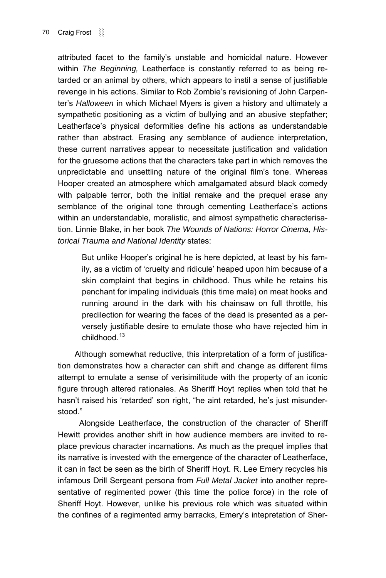attributed facet to the familyís unstable and homicidal nature. However within *The Beginning,* Leatherface is constantly referred to as being retarded or an animal by others, which appears to instil a sense of justifiable revenge in his actions. Similar to Rob Zombie's revisioning of John Carpenterís *Halloween* in which Michael Myers is given a history and ultimately a sympathetic positioning as a victim of bullying and an abusive stepfather; Leatherface's physical deformities define his actions as understandable rather than abstract. Erasing any semblance of audience interpretation, these current narratives appear to necessitate justification and validation for the gruesome actions that the characters take part in which removes the unpredictable and unsettling nature of the original filmís tone. Whereas Hooper created an atmosphere which amalgamated absurd black comedy with palpable terror, both the initial remake and the prequel erase any semblance of the original tone through cementing Leatherface's actions within an understandable, moralistic, and almost sympathetic characterisation. Linnie Blake, in her book *The Wounds of Nations: Horror Cinema, Historical Trauma and National Identity* states:

But unlike Hooper's original he is here depicted, at least by his family, as a victim of 'cruelty and ridicule' heaped upon him because of a skin complaint that begins in childhood. Thus while he retains his penchant for impaling individuals (this time male) on meat hooks and running around in the dark with his chainsaw on full throttle, his predilection for wearing the faces of the dead is presented as a perversely justifiable desire to emulate those who have rejected him in childhood.<sup>[13](#page-14-1)</sup>

Although somewhat reductive, this interpretation of a form of justification demonstrates how a character can shift and change as different films attempt to emulate a sense of verisimilitude with the property of an iconic figure through altered rationales. As Sheriff Hoyt replies when told that he hasn't raised his 'retarded' son right, "he aint retarded, he's just misunderstood."

 Alongside Leatherface, the construction of the character of Sheriff Hewitt provides another shift in how audience members are invited to replace previous character incarnations. As much as the prequel implies that its narrative is invested with the emergence of the character of Leatherface, it can in fact be seen as the birth of Sheriff Hoyt. R. Lee Emery recycles his infamous Drill Sergeant persona from *Full Metal Jacket* into another representative of regimented power (this time the police force) in the role of Sheriff Hoyt. However, unlike his previous role which was situated within the confines of a regimented army barracks, Emery's intepretation of Sher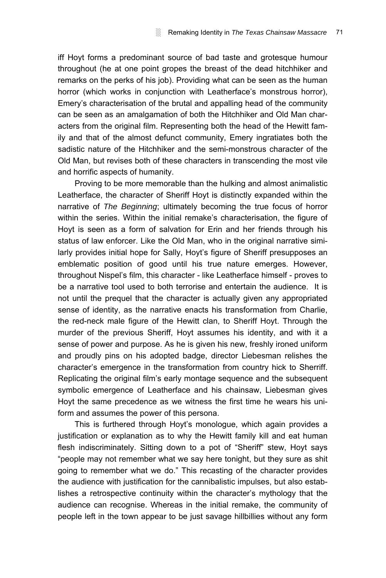iff Hoyt forms a predominant source of bad taste and grotesque humour throughout (he at one point gropes the breast of the dead hitchhiker and remarks on the perks of his job). Providing what can be seen as the human horror (which works in conjunction with Leatherface's monstrous horror), Emeryís characterisation of the brutal and appalling head of the community can be seen as an amalgamation of both the Hitchhiker and Old Man characters from the original film. Representing both the head of the Hewitt family and that of the almost defunct community, Emery ingratiates both the sadistic nature of the Hitchhiker and the semi-monstrous character of the Old Man, but revises both of these characters in transcending the most vile and horrific aspects of humanity.

Proving to be more memorable than the hulking and almost animalistic Leatherface, the character of Sheriff Hoyt is distinctly expanded within the narrative of *The Beginning*; ultimately becoming the true focus of horror within the series. Within the initial remake's characterisation, the figure of Hoyt is seen as a form of salvation for Erin and her friends through his status of law enforcer. Like the Old Man, who in the original narrative similarly provides initial hope for Sally, Hoyt's figure of Sheriff presupposes an emblematic position of good until his true nature emerges. However, throughout Nispel's film, this character - like Leatherface himself - proves to be a narrative tool used to both terrorise and entertain the audience. It is not until the prequel that the character is actually given any appropriated sense of identity, as the narrative enacts his transformation from Charlie, the red-neck male figure of the Hewitt clan, to Sheriff Hoyt. Through the murder of the previous Sheriff, Hoyt assumes his identity, and with it a sense of power and purpose. As he is given his new, freshly ironed uniform and proudly pins on his adopted badge, director Liebesman relishes the characterís emergence in the transformation from country hick to Sherriff. Replicating the original film's early montage sequence and the subsequent symbolic emergence of Leatherface and his chainsaw, Liebesman gives Hoyt the same precedence as we witness the first time he wears his uniform and assumes the power of this persona.

This is furthered through Hoyt's monologue, which again provides a justification or explanation as to why the Hewitt family kill and eat human flesh indiscriminately. Sitting down to a pot of "Sheriff" stew, Hoyt says "people may not remember what we say here tonight, but they sure as shit going to remember what we do." This recasting of the character provides the audience with justification for the cannibalistic impulses, but also establishes a retrospective continuity within the character's mythology that the audience can recognise. Whereas in the initial remake, the community of people left in the town appear to be just savage hillbillies without any form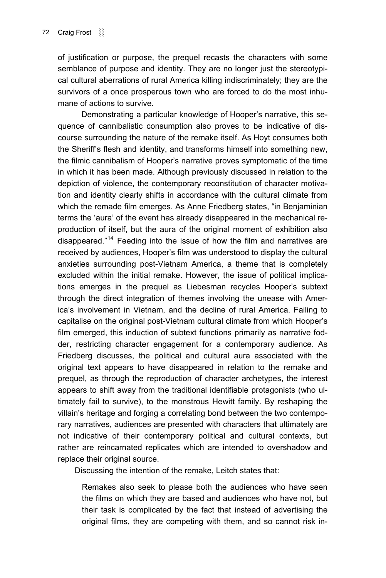of justification or purpose, the prequel recasts the characters with some semblance of purpose and identity. They are no longer just the stereotypical cultural aberrations of rural America killing indiscriminately; they are the survivors of a once prosperous town who are forced to do the most inhumane of actions to survive.

Demonstrating a particular knowledge of Hooper's narrative, this sequence of cannibalistic consumption also proves to be indicative of discourse surrounding the nature of the remake itself. As Hoyt consumes both the Sheriff's flesh and identity, and transforms himself into something new, the filmic cannibalism of Hooperís narrative proves symptomatic of the time in which it has been made. Although previously discussed in relation to the depiction of violence, the contemporary reconstitution of character motivation and identity clearly shifts in accordance with the cultural climate from which the remade film emerges. As Anne Friedberg states, "in Benjaminian terms the ëauraí of the event has already disappeared in the mechanical reproduction of itself, but the aura of the original moment of exhibition also disappeared.<sup> $14$ </sup> Feeding into the issue of how the film and narratives are received by audiences, Hooper's film was understood to display the cultural anxieties surrounding post-Vietnam America, a theme that is completely excluded within the initial remake. However, the issue of political implications emerges in the prequel as Liebesman recycles Hooper's subtext through the direct integration of themes involving the unease with Americaís involvement in Vietnam, and the decline of rural America. Failing to capitalise on the original post-Vietnam cultural climate from which Hooper's film emerged, this induction of subtext functions primarily as narrative fodder, restricting character engagement for a contemporary audience. As Friedberg discusses, the political and cultural aura associated with the original text appears to have disappeared in relation to the remake and prequel, as through the reproduction of character archetypes, the interest appears to shift away from the traditional identifiable protagonists (who ultimately fail to survive), to the monstrous Hewitt family. By reshaping the villain's heritage and forging a correlating bond between the two contemporary narratives, audiences are presented with characters that ultimately are not indicative of their contemporary political and cultural contexts, but rather are reincarnated replicates which are intended to overshadow and replace their original source.

Discussing the intention of the remake, Leitch states that:

Remakes also seek to please both the audiences who have seen the films on which they are based and audiences who have not, but their task is complicated by the fact that instead of advertising the original films, they are competing with them, and so cannot risk in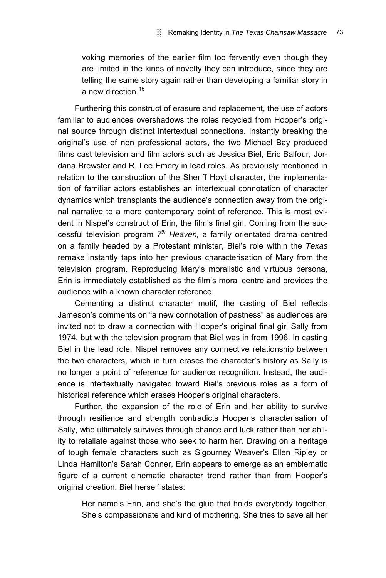voking memories of the earlier film too fervently even though they are limited in the kinds of novelty they can introduce, since they are telling the same story again rather than developing a familiar story in a new direction [15](#page-14-1)

Furthering this construct of erasure and replacement, the use of actors familiar to audiences overshadows the roles recycled from Hooper's original source through distinct intertextual connections. Instantly breaking the originalís use of non professional actors, the two Michael Bay produced films cast television and film actors such as Jessica Biel, Eric Balfour, Jordana Brewster and R. Lee Emery in lead roles. As previously mentioned in relation to the construction of the Sheriff Hoyt character, the implementation of familiar actors establishes an intertextual connotation of character dynamics which transplants the audience's connection away from the original narrative to a more contemporary point of reference. This is most evident in Nispel's construct of Erin, the film's final girl. Coming from the successful television program *7th Heaven,* a family orientated drama centred on a family headed by a Protestant minister, Bielís role within the *Texas* remake instantly taps into her previous characterisation of Mary from the television program. Reproducing Maryís moralistic and virtuous persona, Erin is immediately established as the filmís moral centre and provides the audience with a known character reference.

Cementing a distinct character motif, the casting of Biel reflects Jameson's comments on "a new connotation of pastness" as audiences are invited not to draw a connection with Hooper's original final girl Sally from 1974, but with the television program that Biel was in from 1996. In casting Biel in the lead role, Nispel removes any connective relationship between the two characters, which in turn erases the character's history as Sally is no longer a point of reference for audience recognition. Instead, the audience is intertextually navigated toward Biel's previous roles as a form of historical reference which erases Hooper's original characters.

Further, the expansion of the role of Erin and her ability to survive through resilience and strength contradicts Hooper's characterisation of Sally, who ultimately survives through chance and luck rather than her ability to retaliate against those who seek to harm her. Drawing on a heritage of tough female characters such as Sigourney Weaver's Ellen Ripley or Linda Hamiltonís Sarah Conner, Erin appears to emerge as an emblematic figure of a current cinematic character trend rather than from Hooper's original creation. Biel herself states:

Her name's Erin, and she's the glue that holds everybody together. She's compassionate and kind of mothering. She tries to save all her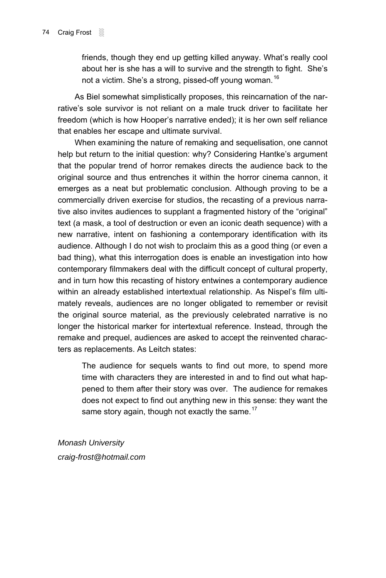friends, though they end up getting killed anyway. What's really cool about her is she has a will to survive and the strength to fight. She's not a victim. She's a strong, pissed-off young woman.<sup>[16](#page-14-1)</sup>

As Biel somewhat simplistically proposes, this reincarnation of the narrativeís sole survivor is not reliant on a male truck driver to facilitate her freedom (which is how Hooper's narrative ended); it is her own self reliance that enables her escape and ultimate survival.

When examining the nature of remaking and sequelisation, one cannot help but return to the initial question: why? Considering Hantke's argument that the popular trend of horror remakes directs the audience back to the original source and thus entrenches it within the horror cinema cannon, it emerges as a neat but problematic conclusion. Although proving to be a commercially driven exercise for studios, the recasting of a previous narrative also invites audiences to supplant a fragmented history of the "original" text (a mask, a tool of destruction or even an iconic death sequence) with a new narrative, intent on fashioning a contemporary identification with its audience. Although I do not wish to proclaim this as a good thing (or even a bad thing), what this interrogation does is enable an investigation into how contemporary filmmakers deal with the difficult concept of cultural property, and in turn how this recasting of history entwines a contemporary audience within an already established intertextual relationship. As Nispel's film ultimately reveals, audiences are no longer obligated to remember or revisit the original source material, as the previously celebrated narrative is no longer the historical marker for intertextual reference. Instead, through the remake and prequel, audiences are asked to accept the reinvented characters as replacements. As Leitch states:

The audience for sequels wants to find out more, to spend more time with characters they are interested in and to find out what happened to them after their story was over. The audience for remakes does not expect to find out anything new in this sense: they want the same story again, though not exactly the same. $17$ 

*Monash University craig-frost@hotmail.com*